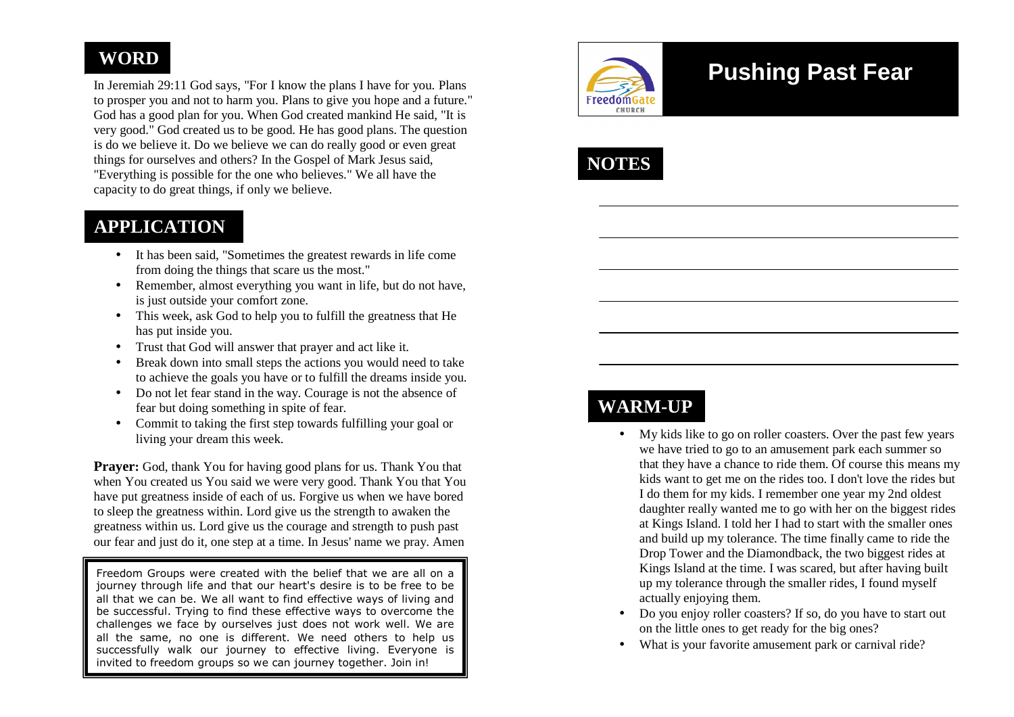## **WORD**

In Jeremiah 29:11 God says, "For I know the plans I have for you. Plans to prosper you and not to harm you. Plans to give you hope and a future." God has a good plan for you. When God created mankind He said, "It is very good." God created us to be good. He has good plans. The question is do we believe it. Do we believe we can do really good or even great things for ourselves and others? In the Gospel of Mark Jesus said, "Everything is possible for the one who believes." We all have the capacity to do great things, if only we believe.

### **APPLICATION**

- It has been said, "Sometimes the greatest rewards in life come from doing the things that scare us the most."
- Remember, almost everything you want in life, but do not have, is just outside your comfort zone.
- This week, ask God to help you to fulfill the greatness that He  $\bullet$ has put inside you.
- Trust that God will answer that prayer and act like it.
- • Break down into small steps the actions you would need to take to achieve the goals you have or to fulfill the dreams inside you.
- Do not let fear stand in the way. Courage is not the absence of fear but doing something in spite of fear.
- Commit to taking the first step towards fulfilling your goal or living your dream this week.

**Prayer:** God, thank You for having good plans for us. Thank You that when You created us You said we were very good. Thank You that You have put greatness inside of each of us. Forgive us when we have bored to sleep the greatness within. Lord give us the strength to awaken the greatness within us. Lord give us the courage and strength to push past our fear and just do it, one step at a time. In Jesus' name we pray. Amen

Freedom Groups were created with the belief that we are all on a journey through life and that our heart's desire is to be free to be all that we can be. We all want to find effective ways of living and be successful. Trying to find these effective ways to overcome the challenges we face by ourselves just does not work well. We are all the same, no one is different. We need others to help us successfully walk our journey to effective living. Everyone is invited to freedom groups so we can journey together. Join in!



# **Pushing Past Fear**



# **WARM-UP**

- My kids like to go on roller coasters. Over the past few years we have tried to go to an amusement park each summer so that they have a chance to ride them. Of course this means my kids want to get me on the rides too. I don't love the rides but I do them for my kids. I remember one year my 2nd oldest daughter really wanted me to go with her on the biggest rides at Kings Island. I told her I had to start with the smaller ones and build up my tolerance. The time finally came to ride the Drop Tower and the Diamondback, the two biggest rides at Kings Island at the time. I was scared, but after having built up my tolerance through the smaller rides, I found myself actually enjoying them.
- Do you enjoy roller coasters? If so, do you have to start out on the little ones to get ready for the big ones?
- What is your favorite amusement park or carnival ride?